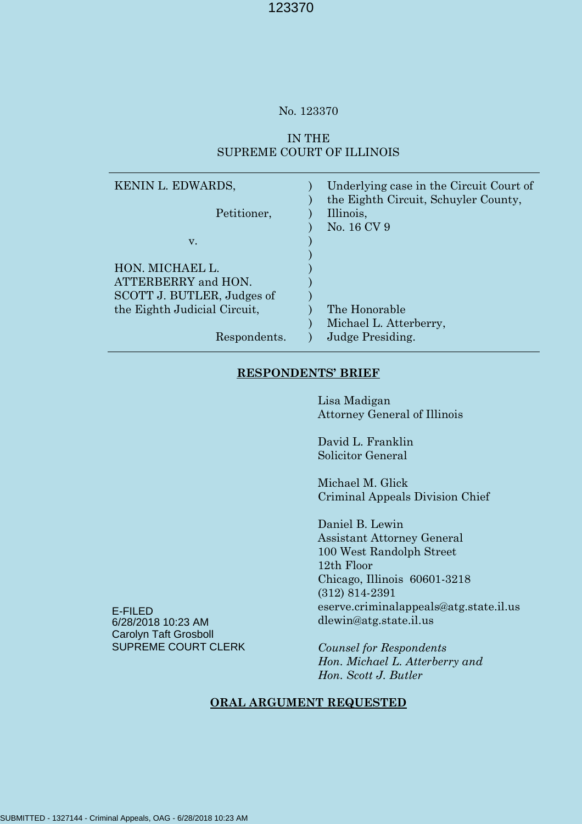### No. 123370

## IN THE SUPREME COURT OF ILLINOIS

| KENIN L. EDWARDS,            | Underlying case in the Circuit Court of<br>the Eighth Circuit, Schuyler County, |
|------------------------------|---------------------------------------------------------------------------------|
| Petitioner,                  | Illinois,                                                                       |
|                              | No. 16 CV 9                                                                     |
| V.                           |                                                                                 |
|                              |                                                                                 |
| HON. MICHAEL L.              |                                                                                 |
| ATTERBERRY and HON.          |                                                                                 |
| SCOTT J. BUTLER, Judges of   |                                                                                 |
| the Eighth Judicial Circuit, | The Honorable                                                                   |
|                              | Michael L. Atterberry,                                                          |
| Respondents.                 | Judge Presiding.                                                                |

## **RESPONDENTS' BRIEF**

Lisa Madigan Attorney General of Illinois

David L. Franklin Solicitor General

Michael M. Glick Criminal Appeals Division Chief

Daniel B. Lewin Assistant Attorney General 100 West Randolph Street 12th Floor Chicago, Illinois 60601-3218 (312) 814-2391 eserve.criminalappeals@atg.state.il.us dlewin@atg.state.il.us

*Counsel for Respondents Hon. Michael L. Atterberry and Hon. Scott J. Butler*

## **ORAL ARGUMENT REQUESTED**

E-FILED 6/28/2018 10:23 AM Carolyn Taft Grosboll SUPREME COURT CLERK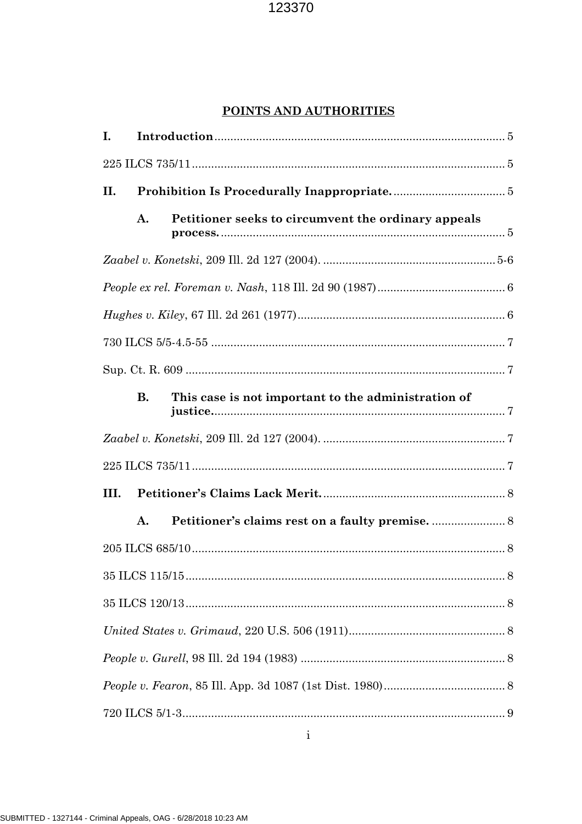## POINTS AND AUTHORITIES

| I.   |           |                                                     |  |
|------|-----------|-----------------------------------------------------|--|
|      |           |                                                     |  |
| II.  |           |                                                     |  |
|      | A.        | Petitioner seeks to circumvent the ordinary appeals |  |
|      |           |                                                     |  |
|      |           |                                                     |  |
|      |           |                                                     |  |
|      |           |                                                     |  |
|      |           |                                                     |  |
|      | <b>B.</b> | This case is not important to the administration of |  |
|      |           |                                                     |  |
|      |           |                                                     |  |
| III. |           |                                                     |  |
|      | A.        |                                                     |  |
|      |           |                                                     |  |
|      |           |                                                     |  |
|      |           |                                                     |  |
|      |           |                                                     |  |
|      |           |                                                     |  |
|      |           |                                                     |  |
|      |           |                                                     |  |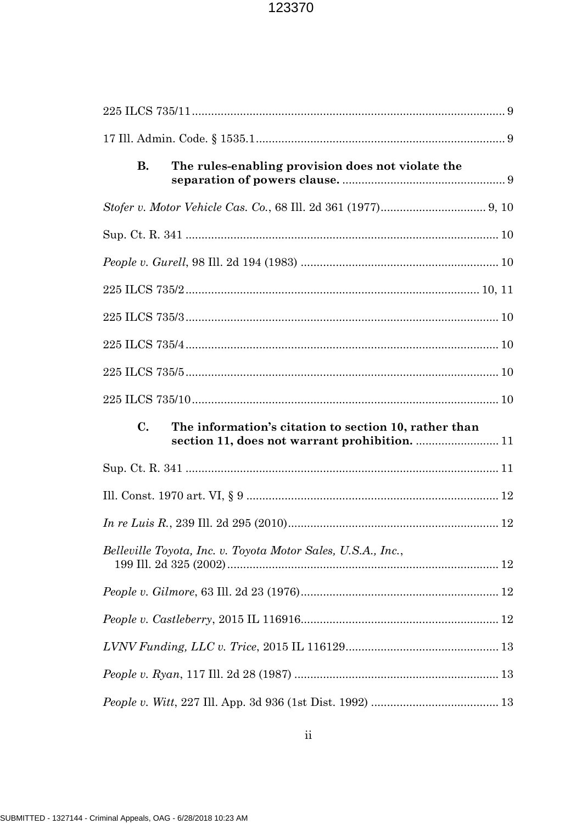| <b>B.</b><br>The rules-enabling provision does not violate the                                                           |  |
|--------------------------------------------------------------------------------------------------------------------------|--|
|                                                                                                                          |  |
|                                                                                                                          |  |
|                                                                                                                          |  |
|                                                                                                                          |  |
|                                                                                                                          |  |
|                                                                                                                          |  |
|                                                                                                                          |  |
|                                                                                                                          |  |
| $\mathbf{C}$ .<br>The information's citation to section 10, rather than<br>section 11, does not warrant prohibition.  11 |  |
|                                                                                                                          |  |
|                                                                                                                          |  |
|                                                                                                                          |  |
| Belleville Toyota, Inc. v. Toyota Motor Sales, U.S.A., Inc.,                                                             |  |
|                                                                                                                          |  |
|                                                                                                                          |  |
|                                                                                                                          |  |
|                                                                                                                          |  |
|                                                                                                                          |  |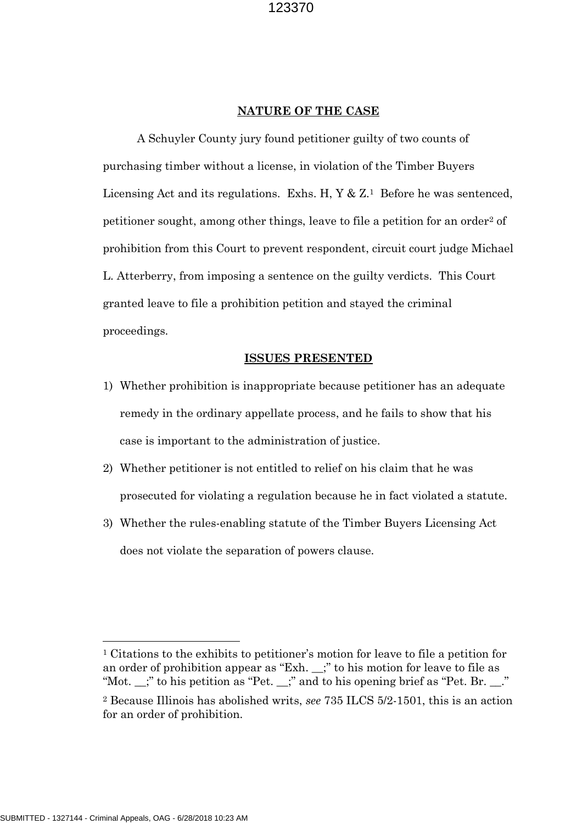#### **NATURE OF THE CASE**

A Schuyler County jury found petitioner guilty of two counts of purchasing timber without a license, in violation of the Timber Buyers Licensing Act and its regulations. Exhs. H,  $Y \& Z$ <sup>1</sup> Before he was sentenced, petitioner sought, among other things, leave to file a petition for an order<sup>2</sup> of prohibition from this Court to prevent respondent, circuit court judge Michael L. Atterberry, from imposing a sentence on the guilty verdicts. This Court granted leave to file a prohibition petition and stayed the criminal proceedings.

#### **ISSUES PRESENTED**

- 1) Whether prohibition is inappropriate because petitioner has an adequate remedy in the ordinary appellate process, and he fails to show that his case is important to the administration of justice.
- 2) Whether petitioner is not entitled to relief on his claim that he was prosecuted for violating a regulation because he in fact violated a statute.
- 3) Whether the rules-enabling statute of the Timber Buyers Licensing Act does not violate the separation of powers clause.

<sup>1</sup> Citations to the exhibits to petitioner's motion for leave to file a petition for an order of prohibition appear as "Exh. \_\_;" to his motion for leave to file as "Mot. \_\_;" to his petition as "Pet. \_\_;" and to his opening brief as "Pet. Br. \_\_."

<sup>2</sup> Because Illinois has abolished writs, *see* 735 ILCS 5/2-1501, this is an action for an order of prohibition.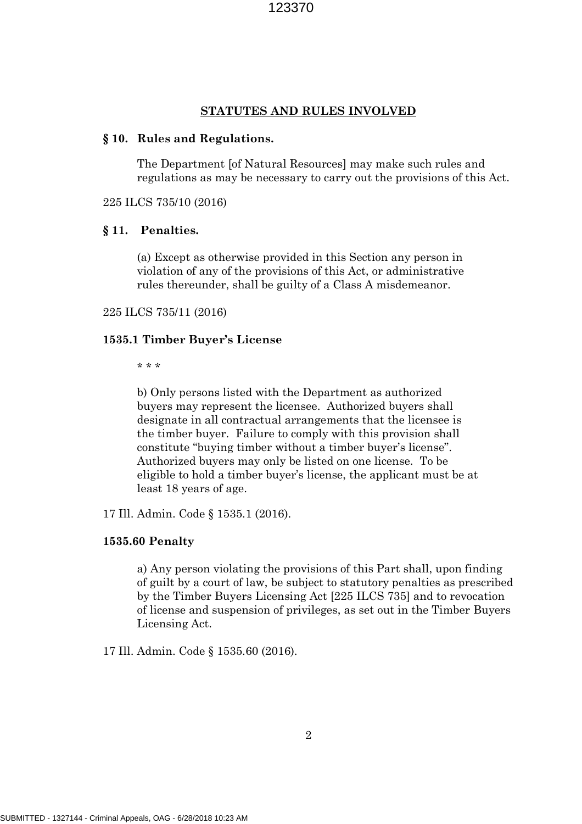#### **STATUTES AND RULES INVOLVED**

#### **§ 10. Rules and Regulations.**

The Department [of Natural Resources] may make such rules and regulations as may be necessary to carry out the provisions of this Act.

225 ILCS 735/10 (2016)

#### **§ 11. Penalties.**

(a) Except as otherwise provided in this Section any person in violation of any of the provisions of this Act, or administrative rules thereunder, shall be guilty of a Class A misdemeanor.

#### 225 ILCS 735/11 (2016)

### **1535.1 Timber Buyer's License**

\* \* \*

b) Only persons listed with the Department as authorized buyers may represent the licensee. Authorized buyers shall designate in all contractual arrangements that the licensee is the timber buyer. Failure to comply with this provision shall constitute "buying timber without a timber buyer's license". Authorized buyers may only be listed on one license. To be eligible to hold a timber buyer's license, the applicant must be at least 18 years of age.

17 Ill. Admin. Code § 1535.1 (2016).

#### **1535.60 Penalty**

a) Any person violating the provisions of this Part shall, upon finding of guilt by a court of law, be subject to statutory penalties as prescribed by the Timber Buyers Licensing Act [225 ILCS 735] and to revocation of license and suspension of privileges, as set out in the Timber Buyers Licensing Act.

17 Ill. Admin. Code § 1535.60 (2016).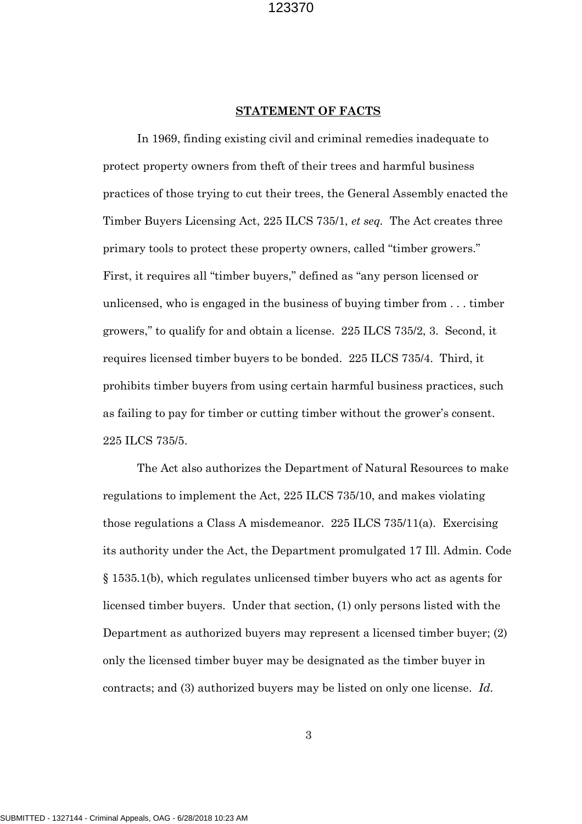#### **STATEMENT OF FACTS**

In 1969, finding existing civil and criminal remedies inadequate to protect property owners from theft of their trees and harmful business practices of those trying to cut their trees, the General Assembly enacted the Timber Buyers Licensing Act, 225 ILCS 735/1, *et seq.* The Act creates three primary tools to protect these property owners, called "timber growers." First, it requires all "timber buyers," defined as "any person licensed or unlicensed, who is engaged in the business of buying timber from . . . timber growers," to qualify for and obtain a license. 225 ILCS 735/2, 3. Second, it requires licensed timber buyers to be bonded. 225 ILCS 735/4. Third, it prohibits timber buyers from using certain harmful business practices, such as failing to pay for timber or cutting timber without the grower's consent. 225 ILCS 735/5.

The Act also authorizes the Department of Natural Resources to make regulations to implement the Act, 225 ILCS 735/10, and makes violating those regulations a Class A misdemeanor. 225 ILCS 735/11(a). Exercising its authority under the Act, the Department promulgated 17 Ill. Admin. Code § 1535.1(b), which regulates unlicensed timber buyers who act as agents for licensed timber buyers. Under that section, (1) only persons listed with the Department as authorized buyers may represent a licensed timber buyer; (2) only the licensed timber buyer may be designated as the timber buyer in contracts; and (3) authorized buyers may be listed on only one license. *Id.*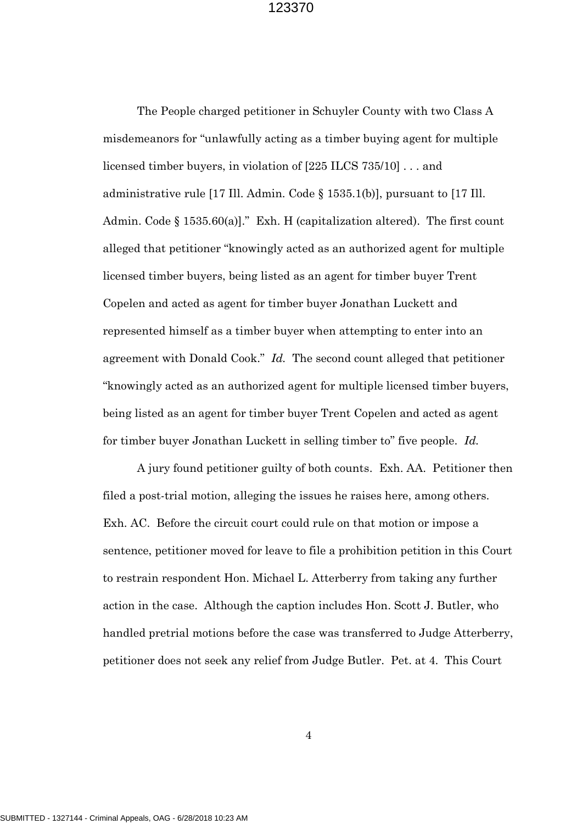The People charged petitioner in Schuyler County with two Class A misdemeanors for "unlawfully acting as a timber buying agent for multiple licensed timber buyers, in violation of [225 ILCS 735/10] . . . and administrative rule [17 Ill. Admin. Code § 1535.1(b)], pursuant to [17 Ill. Admin. Code § 1535.60(a)]." Exh. H (capitalization altered). The first count alleged that petitioner "knowingly acted as an authorized agent for multiple licensed timber buyers, being listed as an agent for timber buyer Trent Copelen and acted as agent for timber buyer Jonathan Luckett and represented himself as a timber buyer when attempting to enter into an agreement with Donald Cook." *Id.* The second count alleged that petitioner "knowingly acted as an authorized agent for multiple licensed timber buyers, being listed as an agent for timber buyer Trent Copelen and acted as agent for timber buyer Jonathan Luckett in selling timber to" five people. *Id.*

A jury found petitioner guilty of both counts. Exh. AA. Petitioner then filed a post-trial motion, alleging the issues he raises here, among others. Exh. AC. Before the circuit court could rule on that motion or impose a sentence, petitioner moved for leave to file a prohibition petition in this Court to restrain respondent Hon. Michael L. Atterberry from taking any further action in the case. Although the caption includes Hon. Scott J. Butler, who handled pretrial motions before the case was transferred to Judge Atterberry, petitioner does not seek any relief from Judge Butler. Pet. at 4. This Court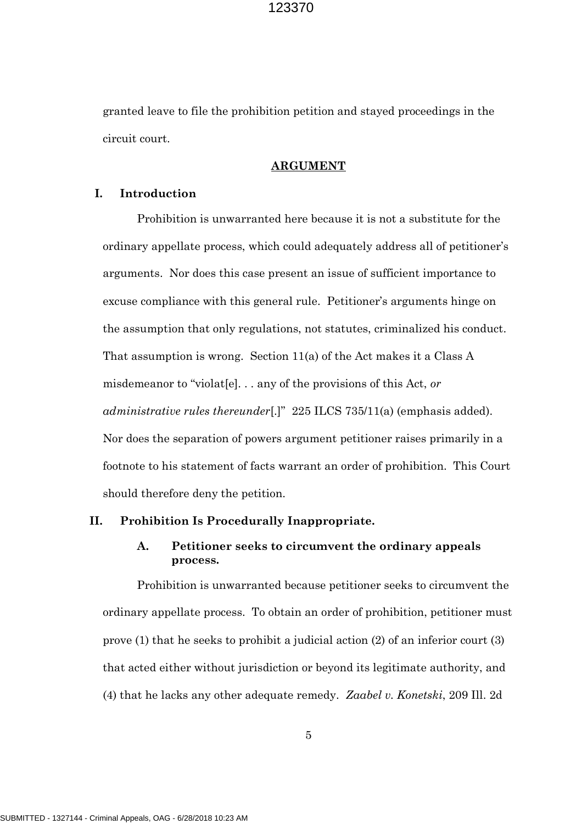granted leave to file the prohibition petition and stayed proceedings in the circuit court.

#### **ARGUMENT**

### **I. Introduction**

Prohibition is unwarranted here because it is not a substitute for the ordinary appellate process, which could adequately address all of petitioner's arguments. Nor does this case present an issue of sufficient importance to excuse compliance with this general rule. Petitioner's arguments hinge on the assumption that only regulations, not statutes, criminalized his conduct. That assumption is wrong. Section 11(a) of the Act makes it a Class A misdemeanor to "violat[e]. . . any of the provisions of this Act, *or administrative rules thereunder*[.]" 225 ILCS 735/11(a) (emphasis added). Nor does the separation of powers argument petitioner raises primarily in a footnote to his statement of facts warrant an order of prohibition. This Court should therefore deny the petition.

#### **II. Prohibition Is Procedurally Inappropriate.**

## **A. Petitioner seeks to circumvent the ordinary appeals process.**

Prohibition is unwarranted because petitioner seeks to circumvent the ordinary appellate process. To obtain an order of prohibition, petitioner must prove (1) that he seeks to prohibit a judicial action (2) of an inferior court (3) that acted either without jurisdiction or beyond its legitimate authority, and (4) that he lacks any other adequate remedy. *Zaabel v. Konetski*, 209 Ill. 2d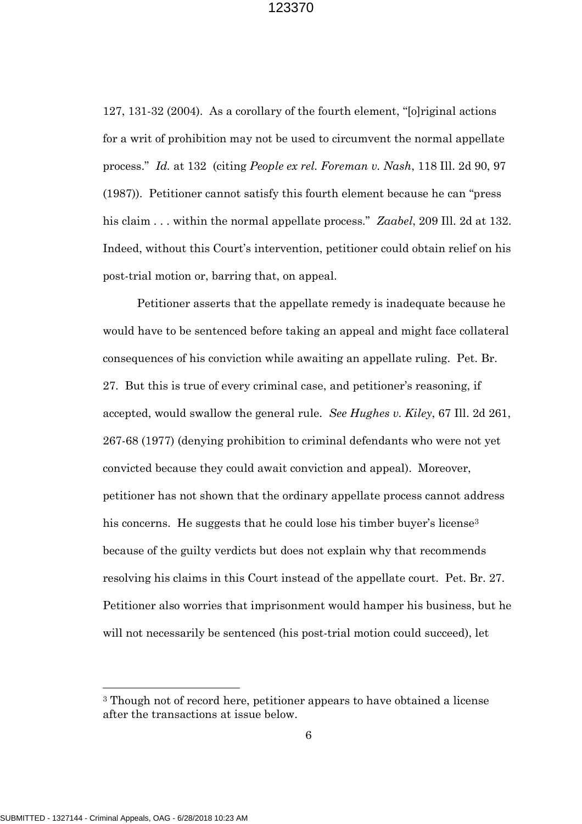127, 131-32 (2004). As a corollary of the fourth element, "[o]riginal actions for a writ of prohibition may not be used to circumvent the normal appellate process." *Id.* at 132 (citing *People ex rel. Foreman v. Nash*, 118 Ill. 2d 90, 97 (1987)). Petitioner cannot satisfy this fourth element because he can "press his claim . . . within the normal appellate process." *Zaabel*, 209 Ill. 2d at 132. Indeed, without this Court's intervention, petitioner could obtain relief on his post-trial motion or, barring that, on appeal.

Petitioner asserts that the appellate remedy is inadequate because he would have to be sentenced before taking an appeal and might face collateral consequences of his conviction while awaiting an appellate ruling. Pet. Br. 27. But this is true of every criminal case, and petitioner's reasoning, if accepted, would swallow the general rule. *See Hughes v. Kiley*, 67 Ill. 2d 261, 267-68 (1977) (denying prohibition to criminal defendants who were not yet convicted because they could await conviction and appeal). Moreover, petitioner has not shown that the ordinary appellate process cannot address his concerns. He suggests that he could lose his timber buyer's license<sup>3</sup> because of the guilty verdicts but does not explain why that recommends resolving his claims in this Court instead of the appellate court. Pet. Br. 27. Petitioner also worries that imprisonment would hamper his business, but he will not necessarily be sentenced (his post-trial motion could succeed), let

<sup>3</sup> Though not of record here, petitioner appears to have obtained a license after the transactions at issue below.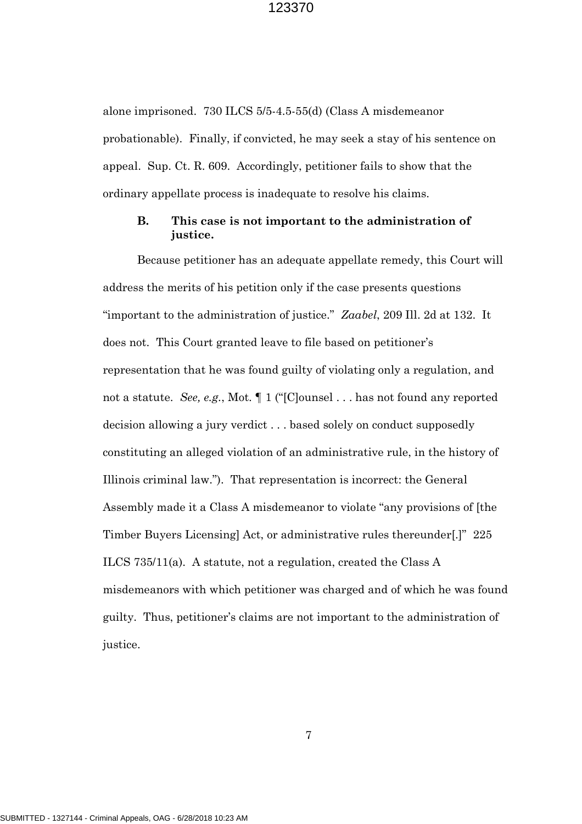alone imprisoned. 730 ILCS 5/5-4.5-55(d) (Class A misdemeanor probationable). Finally, if convicted, he may seek a stay of his sentence on appeal. Sup. Ct. R. 609. Accordingly, petitioner fails to show that the ordinary appellate process is inadequate to resolve his claims.

## **B. This case is not important to the administration of justice.**

Because petitioner has an adequate appellate remedy, this Court will address the merits of his petition only if the case presents questions "important to the administration of justice." *Zaabel*, 209 Ill. 2d at 132. It does not. This Court granted leave to file based on petitioner's representation that he was found guilty of violating only a regulation, and not a statute. *See, e.g.*, Mot. ¶ 1 ("[C]ounsel . . . has not found any reported decision allowing a jury verdict . . . based solely on conduct supposedly constituting an alleged violation of an administrative rule, in the history of Illinois criminal law."). That representation is incorrect: the General Assembly made it a Class A misdemeanor to violate "any provisions of [the Timber Buyers Licensing] Act, or administrative rules thereunder[.]" 225 ILCS 735/11(a). A statute, not a regulation, created the Class A misdemeanors with which petitioner was charged and of which he was found guilty. Thus, petitioner's claims are not important to the administration of justice.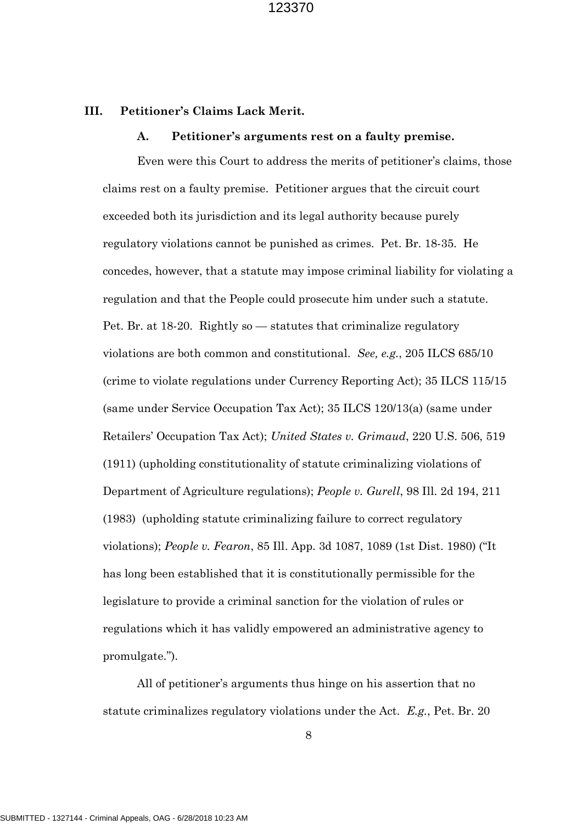#### **III. Petitioner's Claims Lack Merit.**

#### **A. Petitioner's arguments rest on a faulty premise.**

Even were this Court to address the merits of petitioner's claims, those claims rest on a faulty premise. Petitioner argues that the circuit court exceeded both its jurisdiction and its legal authority because purely regulatory violations cannot be punished as crimes. Pet. Br. 18-35. He concedes, however, that a statute may impose criminal liability for violating a regulation and that the People could prosecute him under such a statute. Pet. Br. at 18-20. Rightly so — statutes that criminalize regulatory violations are both common and constitutional. *See, e.g.*, 205 ILCS 685/10 (crime to violate regulations under Currency Reporting Act); 35 ILCS 115/15 (same under Service Occupation Tax Act); 35 ILCS 120/13(a) (same under Retailers' Occupation Tax Act); *United States v. Grimaud*, 220 U.S. 506, 519 (1911) (upholding constitutionality of statute criminalizing violations of Department of Agriculture regulations); *People v. Gurell*, 98 Ill. 2d 194, 211 (1983) (upholding statute criminalizing failure to correct regulatory violations); *People v. Fearon*, 85 Ill. App. 3d 1087, 1089 (1st Dist. 1980) ("It has long been established that it is constitutionally permissible for the legislature to provide a criminal sanction for the violation of rules or regulations which it has validly empowered an administrative agency to promulgate.").

All of petitioner's arguments thus hinge on his assertion that no statute criminalizes regulatory violations under the Act. *E.g.*, Pet. Br. 20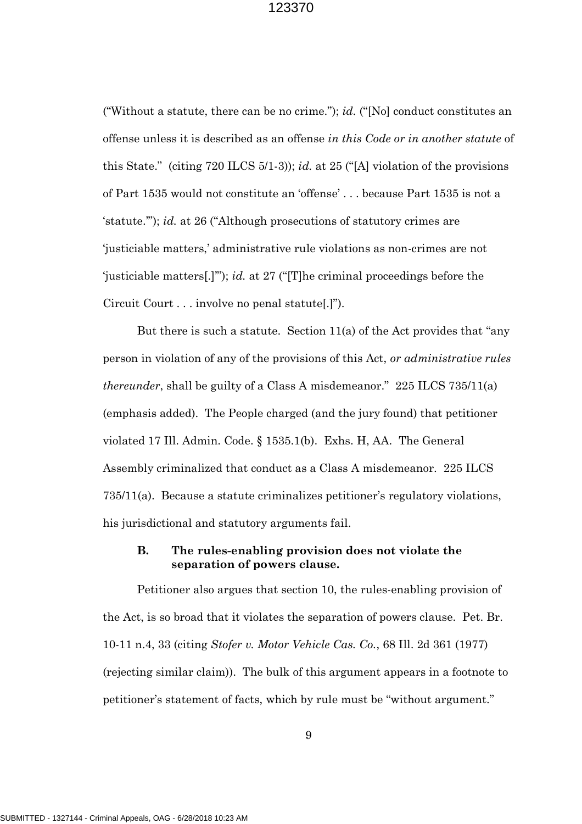("Without a statute, there can be no crime."); *id.* ("[No] conduct constitutes an offense unless it is described as an offense *in this Code or in another statute* of this State." (citing 720 ILCS 5/1-3)); *id.* at 25 ("[A] violation of the provisions of Part 1535 would not constitute an 'offense' . . . because Part 1535 is not a 'statute.'"); *id.* at 26 ("Although prosecutions of statutory crimes are 'justiciable matters,' administrative rule violations as non-crimes are not 'justiciable matters[.]'"); *id.* at 27 ("[T]he criminal proceedings before the Circuit Court . . . involve no penal statute[.]").

But there is such a statute. Section 11(a) of the Act provides that "any person in violation of any of the provisions of this Act, *or administrative rules thereunder*, shall be guilty of a Class A misdemeanor." 225 ILCS 735/11(a) (emphasis added). The People charged (and the jury found) that petitioner violated 17 Ill. Admin. Code. § 1535.1(b). Exhs. H, AA. The General Assembly criminalized that conduct as a Class A misdemeanor. 225 ILCS 735/11(a). Because a statute criminalizes petitioner's regulatory violations, his jurisdictional and statutory arguments fail.

## **B. The rules-enabling provision does not violate the separation of powers clause.**

Petitioner also argues that section 10, the rules-enabling provision of the Act, is so broad that it violates the separation of powers clause. Pet. Br. 10-11 n.4, 33 (citing *Stofer v. Motor Vehicle Cas. Co.*, 68 Ill. 2d 361 (1977) (rejecting similar claim)). The bulk of this argument appears in a footnote to petitioner's statement of facts, which by rule must be "without argument."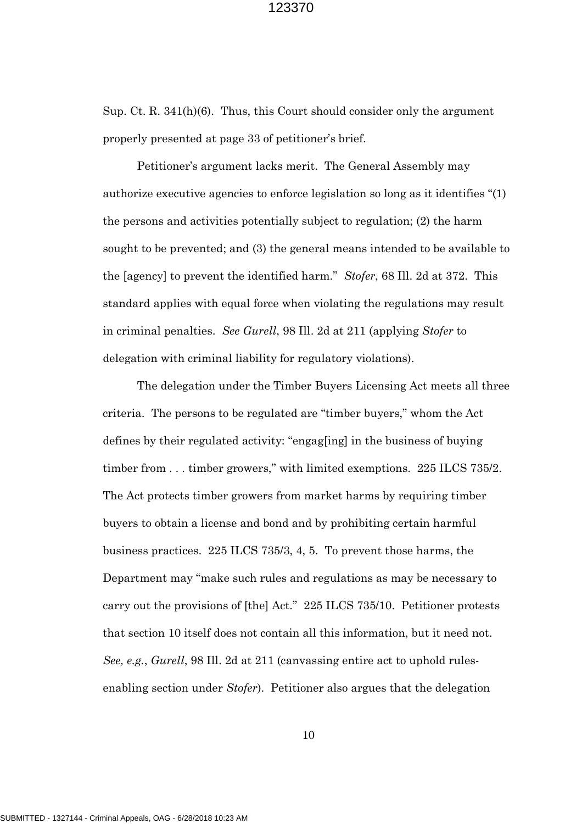Sup. Ct. R. 341(h)(6). Thus, this Court should consider only the argument properly presented at page 33 of petitioner's brief.

Petitioner's argument lacks merit. The General Assembly may authorize executive agencies to enforce legislation so long as it identifies "(1) the persons and activities potentially subject to regulation; (2) the harm sought to be prevented; and (3) the general means intended to be available to the [agency] to prevent the identified harm." *Stofer*, 68 Ill. 2d at 372. This standard applies with equal force when violating the regulations may result in criminal penalties. *See Gurell*, 98 Ill. 2d at 211 (applying *Stofer* to delegation with criminal liability for regulatory violations).

The delegation under the Timber Buyers Licensing Act meets all three criteria. The persons to be regulated are "timber buyers," whom the Act defines by their regulated activity: "engag[ing] in the business of buying timber from . . . timber growers," with limited exemptions. 225 ILCS 735/2. The Act protects timber growers from market harms by requiring timber buyers to obtain a license and bond and by prohibiting certain harmful business practices. 225 ILCS 735/3, 4, 5. To prevent those harms, the Department may "make such rules and regulations as may be necessary to carry out the provisions of [the] Act." 225 ILCS 735/10. Petitioner protests that section 10 itself does not contain all this information, but it need not. *See, e.g.*, *Gurell*, 98 Ill. 2d at 211 (canvassing entire act to uphold rulesenabling section under *Stofer*). Petitioner also argues that the delegation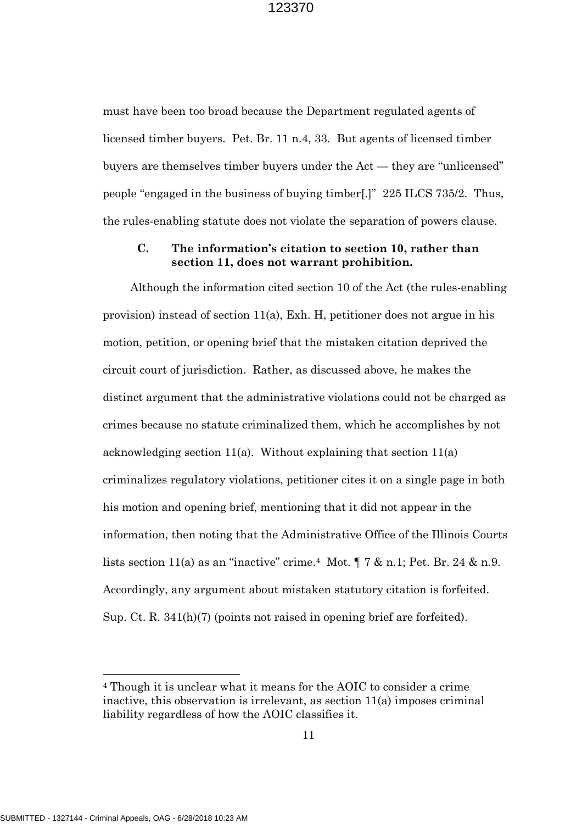must have been too broad because the Department regulated agents of licensed timber buyers. Pet. Br. 11 n.4, 33. But agents of licensed timber buyers are themselves timber buyers under the Act — they are "unlicensed" people "engaged in the business of buying timber[.]" 225 ILCS 735/2. Thus, the rules-enabling statute does not violate the separation of powers clause.

## **C. The information's citation to section 10, rather than section 11, does not warrant prohibition.**

Although the information cited section 10 of the Act (the rules-enabling provision) instead of section 11(a), Exh. H, petitioner does not argue in his motion, petition, or opening brief that the mistaken citation deprived the circuit court of jurisdiction. Rather, as discussed above, he makes the distinct argument that the administrative violations could not be charged as crimes because no statute criminalized them, which he accomplishes by not acknowledging section 11(a). Without explaining that section 11(a) criminalizes regulatory violations, petitioner cites it on a single page in both his motion and opening brief, mentioning that it did not appear in the information, then noting that the Administrative Office of the Illinois Courts lists section 11(a) as an "inactive" crime.<sup>4</sup> Mot.  $\P$  7 & n.1; Pet. Br. 24 & n.9. Accordingly, any argument about mistaken statutory citation is forfeited. Sup. Ct. R. 341(h)(7) (points not raised in opening brief are forfeited).

<sup>4</sup> Though it is unclear what it means for the AOIC to consider a crime inactive, this observation is irrelevant, as section 11(a) imposes criminal liability regardless of how the AOIC classifies it.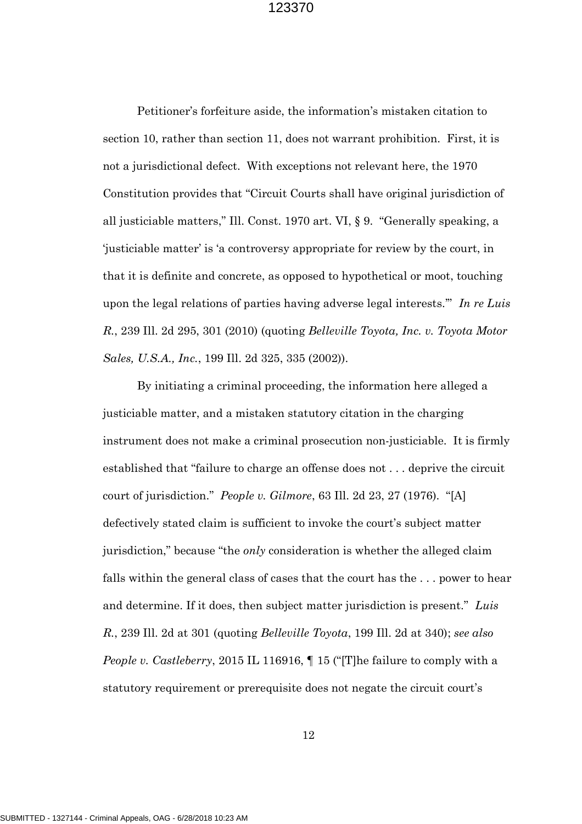Petitioner's forfeiture aside, the information's mistaken citation to section 10, rather than section 11, does not warrant prohibition. First, it is not a jurisdictional defect. With exceptions not relevant here, the 1970 Constitution provides that "Circuit Courts shall have original jurisdiction of all justiciable matters," Ill. Const. 1970 art. VI, § 9. "Generally speaking, a 'justiciable matter' is 'a controversy appropriate for review by the court, in that it is definite and concrete, as opposed to hypothetical or moot, touching upon the legal relations of parties having adverse legal interests.'" *In re Luis R.*, 239 Ill. 2d 295, 301 (2010) (quoting *Belleville Toyota, Inc. v. Toyota Motor Sales, U.S.A., Inc.*, 199 Ill. 2d 325, 335 (2002)).

By initiating a criminal proceeding, the information here alleged a justiciable matter, and a mistaken statutory citation in the charging instrument does not make a criminal prosecution non-justiciable. It is firmly established that "failure to charge an offense does not . . . deprive the circuit court of jurisdiction." *People v. Gilmore*, 63 Ill. 2d 23, 27 (1976). "[A] defectively stated claim is sufficient to invoke the court's subject matter jurisdiction," because "the *only* consideration is whether the alleged claim falls within the general class of cases that the court has the . . . power to hear and determine. If it does, then subject matter jurisdiction is present." *Luis R.*, 239 Ill. 2d at 301 (quoting *Belleville Toyota*, 199 Ill. 2d at 340); *see also People v. Castleberry*, 2015 IL 116916, ¶ 15 ("[T]he failure to comply with a statutory requirement or prerequisite does not negate the circuit court's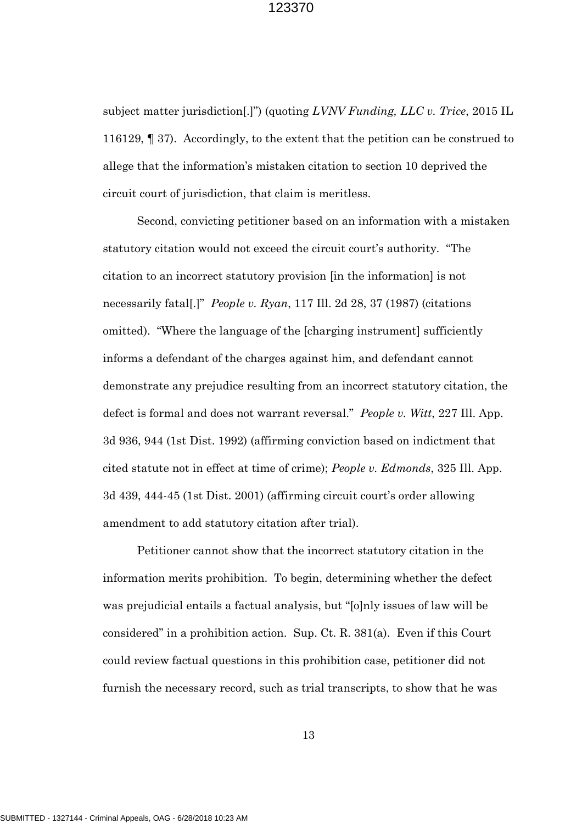subject matter jurisdiction[.]") (quoting *LVNV Funding, LLC v. Trice*, 2015 IL 116129, ¶ 37). Accordingly, to the extent that the petition can be construed to allege that the information's mistaken citation to section 10 deprived the circuit court of jurisdiction, that claim is meritless.

Second, convicting petitioner based on an information with a mistaken statutory citation would not exceed the circuit court's authority. "The citation to an incorrect statutory provision [in the information] is not necessarily fatal[.]" *People v. Ryan*, 117 Ill. 2d 28, 37 (1987) (citations omitted). "Where the language of the [charging instrument] sufficiently informs a defendant of the charges against him, and defendant cannot demonstrate any prejudice resulting from an incorrect statutory citation, the defect is formal and does not warrant reversal." *People v. Witt*, 227 Ill. App. 3d 936, 944 (1st Dist. 1992) (affirming conviction based on indictment that cited statute not in effect at time of crime); *People v. Edmonds*, 325 Ill. App. 3d 439, 444-45 (1st Dist. 2001) (affirming circuit court's order allowing amendment to add statutory citation after trial).

Petitioner cannot show that the incorrect statutory citation in the information merits prohibition. To begin, determining whether the defect was prejudicial entails a factual analysis, but "[o]nly issues of law will be considered" in a prohibition action. Sup. Ct. R. 381(a). Even if this Court could review factual questions in this prohibition case, petitioner did not furnish the necessary record, such as trial transcripts, to show that he was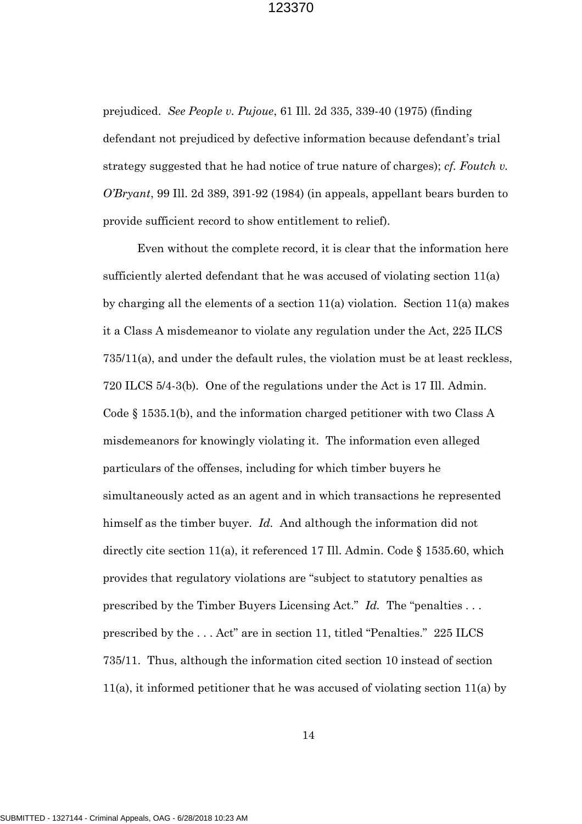prejudiced. *See People v. Pujoue*, 61 Ill. 2d 335, 339-40 (1975) (finding defendant not prejudiced by defective information because defendant's trial strategy suggested that he had notice of true nature of charges); *cf. Foutch v. O'Bryant*, 99 Ill. 2d 389, 391-92 (1984) (in appeals, appellant bears burden to provide sufficient record to show entitlement to relief).

Even without the complete record, it is clear that the information here sufficiently alerted defendant that he was accused of violating section  $11(a)$ by charging all the elements of a section 11(a) violation. Section 11(a) makes it a Class A misdemeanor to violate any regulation under the Act, 225 ILCS 735/11(a), and under the default rules, the violation must be at least reckless, 720 ILCS 5/4-3(b). One of the regulations under the Act is 17 Ill. Admin. Code § 1535.1(b), and the information charged petitioner with two Class A misdemeanors for knowingly violating it. The information even alleged particulars of the offenses, including for which timber buyers he simultaneously acted as an agent and in which transactions he represented himself as the timber buyer. *Id.* And although the information did not directly cite section 11(a), it referenced 17 Ill. Admin. Code § 1535.60, which provides that regulatory violations are "subject to statutory penalties as prescribed by the Timber Buyers Licensing Act." *Id.* The "penalties . . . prescribed by the . . . Act" are in section 11, titled "Penalties." 225 ILCS 735/11. Thus, although the information cited section 10 instead of section 11(a), it informed petitioner that he was accused of violating section 11(a) by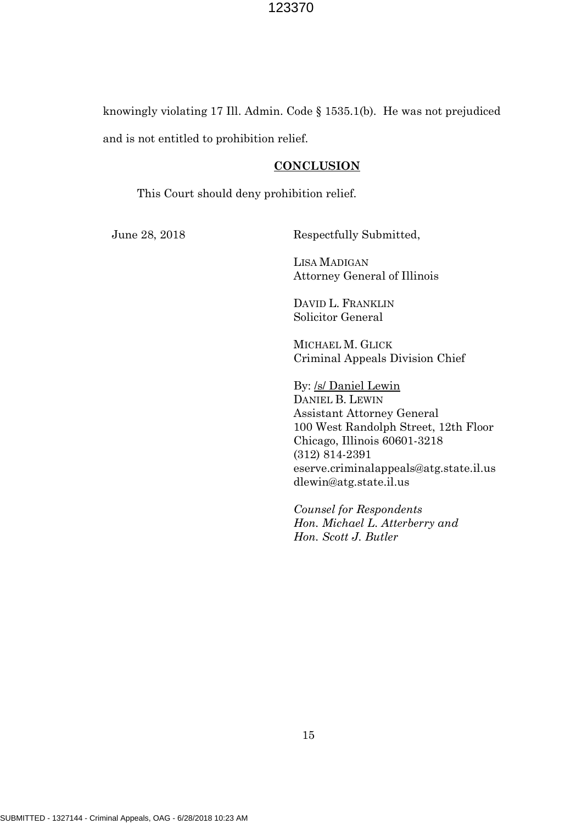knowingly violating 17 Ill. Admin. Code § 1535.1(b). He was not prejudiced and is not entitled to prohibition relief.

## **CONCLUSION**

This Court should deny prohibition relief.

June 28, 2018 Respectfully Submitted,

LISA MADIGAN Attorney General of Illinois

DAVID L. FRANKLIN Solicitor General

MICHAEL M. GLICK Criminal Appeals Division Chief

By: /s/ Daniel Lewin DANIEL B. LEWIN Assistant Attorney General 100 West Randolph Street, 12th Floor Chicago, Illinois 60601-3218 (312) 814-2391 eserve.criminalappeals@atg.state.il.us dlewin@atg.state.il.us

*Counsel for Respondents Hon. Michael L. Atterberry and Hon. Scott J. Butler*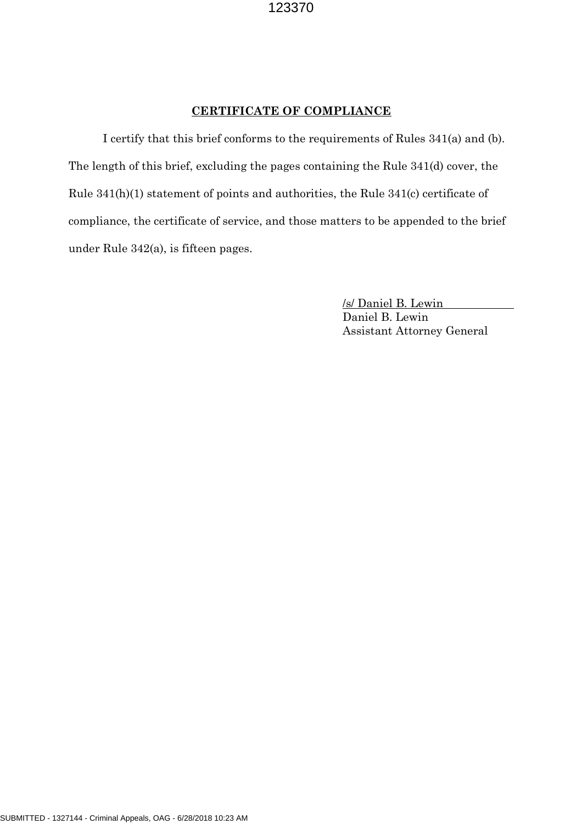### **CERTIFICATE OF COMPLIANCE**

I certify that this brief conforms to the requirements of Rules 341(a) and (b). The length of this brief, excluding the pages containing the Rule 341(d) cover, the Rule 341(h)(1) statement of points and authorities, the Rule 341(c) certificate of compliance, the certificate of service, and those matters to be appended to the brief under Rule 342(a), is fifteen pages.

> /s/ Daniel B. Lewin Daniel B. Lewin Assistant Attorney General